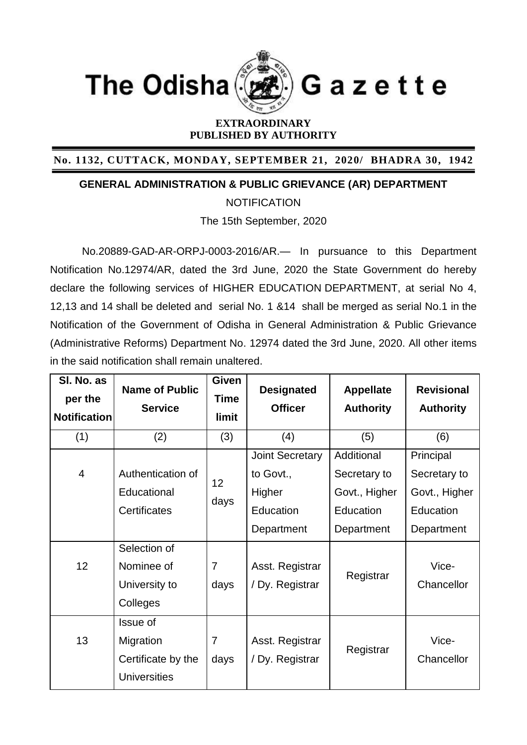

## **EXTRAORDINARY PUBLISHED BY AUTHORITY**

**No. 1132, CUTTACK, MONDAY, SEPTEMBER 21, 2020/ BHADRA 30, 1942**

**GENERAL ADMINISTRATION & PUBLIC GRIEVANCE (AR) DEPARTMENT**

**NOTIFICATION** 

The 15th September, 2020

No.20889-GAD-AR-ORPJ-0003-2016/AR.— In pursuance to this Department Notification No.12974/AR, dated the 3rd June, 2020 the State Government do hereby declare the following services of HIGHER EDUCATION DEPARTMENT, at serial No 4, 12,13 and 14 shall be deleted and serial No. 1 &14 shall be merged as serial No.1 in the Notification of the Government of Odisha in General Administration & Public Grievance (Administrative Reforms) Department No. 12974 dated the 3rd June, 2020. All other items in the said notification shall remain unaltered.

| SI. No. as<br>per the<br><b>Notification</b> | <b>Name of Public</b><br><b>Service</b> | <b>Given</b><br><b>Time</b><br><b>limit</b> | <b>Designated</b><br><b>Officer</b> | <b>Appellate</b><br><b>Authority</b> | <b>Revisional</b><br><b>Authority</b> |
|----------------------------------------------|-----------------------------------------|---------------------------------------------|-------------------------------------|--------------------------------------|---------------------------------------|
| (1)                                          | (2)                                     | (3)                                         | (4)                                 | (5)                                  | (6)                                   |
|                                              |                                         |                                             | <b>Joint Secretary</b>              | Additional                           | Principal                             |
| $\overline{4}$                               | Authentication of                       | 12 <sub>2</sub><br>days                     | to Govt.,                           | Secretary to                         | Secretary to                          |
|                                              | Educational                             |                                             | Higher                              | Govt., Higher                        | Govt., Higher                         |
|                                              | Certificates                            |                                             | Education                           | Education                            | Education                             |
|                                              |                                         |                                             | Department                          | Department                           | Department                            |
|                                              | Selection of                            |                                             |                                     |                                      |                                       |
| 12                                           | Nominee of                              | $\overline{7}$                              | Asst. Registrar                     | Registrar                            | Vice-                                 |
|                                              | University to                           | days                                        | / Dy. Registrar                     |                                      | Chancellor                            |
|                                              | Colleges                                |                                             |                                     |                                      |                                       |
|                                              | Issue of                                |                                             |                                     |                                      |                                       |
| 13                                           | Migration                               | $\overline{7}$                              | Asst. Registrar                     | Registrar                            | Vice-                                 |
|                                              | Certificate by the                      | days                                        | / Dy. Registrar                     |                                      | Chancellor                            |
|                                              | <b>Universities</b>                     |                                             |                                     |                                      |                                       |